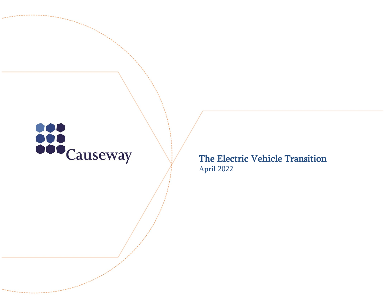

The Electric Vehicle Transition April 2022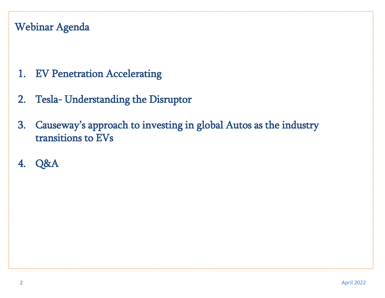#### Webinar Agenda

- 1. EV Penetration Accelerating
- 2. Tesla- Understanding the Disruptor
- 3. Causeway's approach to investing in global Autos as the industry transitions to EVs
- 4. Q&A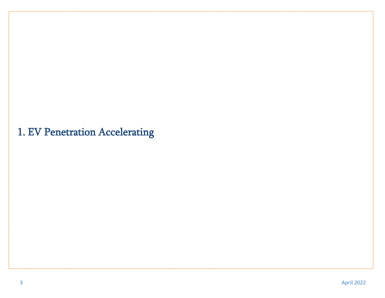## 1. EV Penetration Accelerating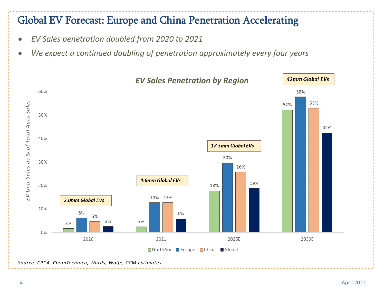#### Global EV Forecast: Europe and China Penetration Accelerating

- *EV Sales penetration doubled from 2020 to 2021*
- *We expect a continued doubling of penetration approximately every four years*

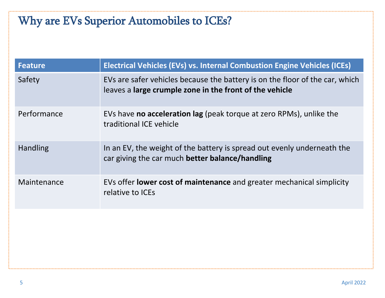# Why are EVs Superior Automobiles to ICEs?

| <b>Feature</b>  | <b>Electrical Vehicles (EVs) vs. Internal Combustion Engine Vehicles (ICEs)</b>                                                         |  |
|-----------------|-----------------------------------------------------------------------------------------------------------------------------------------|--|
| Safety          | EVs are safer vehicles because the battery is on the floor of the car, which<br>leaves a large crumple zone in the front of the vehicle |  |
| Performance     | EVs have <b>no acceleration lag</b> (peak torque at zero RPMs), unlike the<br>traditional ICE vehicle                                   |  |
| <b>Handling</b> | In an EV, the weight of the battery is spread out evenly underneath the<br>car giving the car much better balance/handling              |  |
| Maintenance     | EVs offer <b>lower cost of maintenance</b> and greater mechanical simplicity<br>relative to ICEs                                        |  |
|                 |                                                                                                                                         |  |
|                 |                                                                                                                                         |  |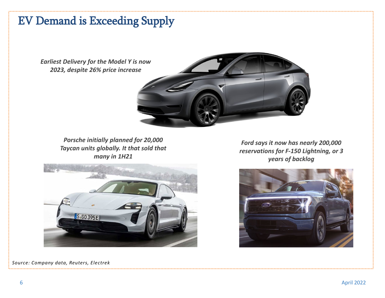#### EV Demand is Exceeding Supply

*Earliest Delivery for the Model Y is now 2023, despite 26% price increase*

> *Porsche initially planned for 20,000 Taycan units globally. It that sold that many in 1H21*

S.GO 395F

*Source: Company data, Reuters, Electrek*

*Ford says it now has nearly 200,000 reservations for F-150 Lightning, or 3 years of backlog*





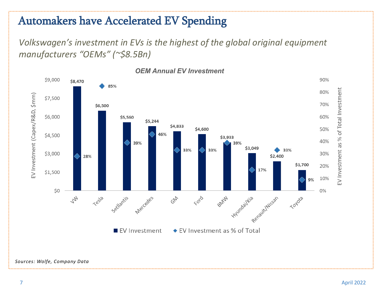## Automakers have Accelerated EV Spending

*Volkswagen's investment in EVs is the highest of the global original equipment manufacturers "OEMs" (~\$8.5Bn)*

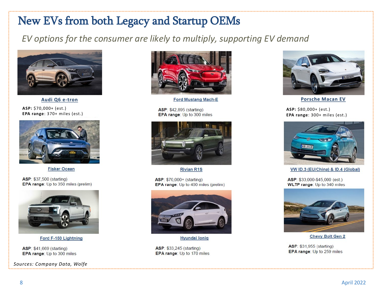## New EVs from both Legacy and Startup OEMs

#### *EV options for the consumer are likely to multiply, supporting EV demand*



**Audi Q6 e-tron**

**ASP:** \$70,000+ (est.) **EPA range**: 370+ miles (est.)



**Fisker Ocean** 

ASP: \$37,500 (starting) EPA range: Up to 350 miles (prelim)



Ford F-150 Lightning

ASP: \$41,669 (starting) EPA range: Up to 300 miles

*Sources: Company Data, Wolfe*



**Ford Mustang Mach-E** 

ASP: \$42,895 (starting) EPA range: Up to 300 miles



**Rivian R1S** 

ASP: \$70,000+ (starting) **EPA range:** Up to 400 miles (prelim)



**Hyundai lonig** 

ASP: \$33,245 (starting) EPA range: Up to 170 miles



**Porsche Macan EV**

**ASP:** \$80,000+ (est.) **EPA range**: 300+ miles (est.)



VW ID.3 (EU/China) & ID.4 (Global)

ASP: \$33,000-\$45,000 (est.) **WLTP range: Up to 340 miles** 



**Chevy Bolt Gen 2** 

ASP: \$31,955 (starting) EPA range: Up to 259 miles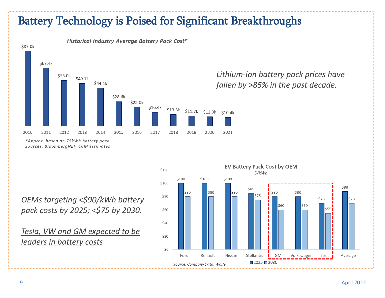#### Battery Technology is Poised for Significant Breakthroughs



**Historical Industry Average Battery Pack Cost\*** 

*Lithium-ion battery pack prices have fallen by >85% in the past decade.*

*\*Approx. based on 75kWh battery pack Sources: BloombergNEF, CCM estimates*

*OEMs targeting <\$90/kWh battery pack costs by 2025; <\$75 by 2030.*

*Tesla, VW and GM expected to be leaders in battery costs*

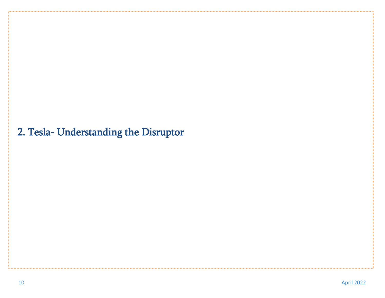#### 2. Tesla- Understanding the Disruptor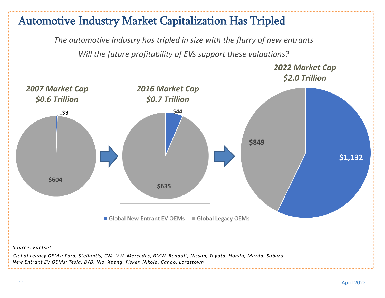#### Automotive Industry Market Capitalization Has Tripled

*The automotive industry has tripled in size with the flurry of new entrants Will the future profitability of EVs support these valuations?*

> *2022 Market Cap \$2.0 Trillion*

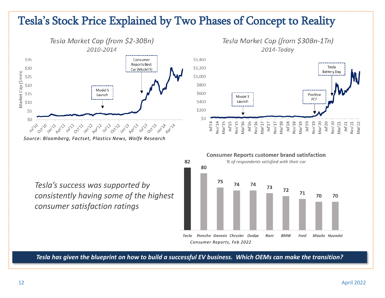#### Tesla's Stock Price Explained by Two Phases of Concept to Reality



*Source: Bloomberg, Factset, Plastics News, Wolfe Research*



*Tesla's success was supported by consistently having some of the highest consumer satisfaction ratings*



*Tesla has given the blueprint on how to build a successful EV business. Which OEMs can make the transition?*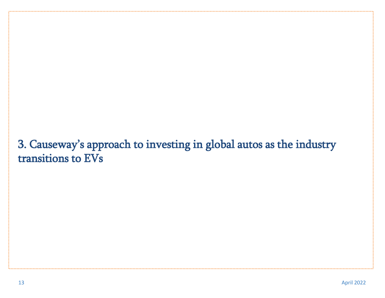### 3. Causeway's approach to investing in global autos as the industry transitions to EVs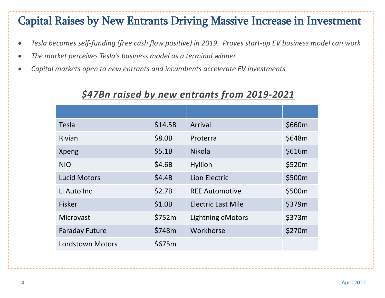#### Capital Raises by New Entrants Driving Massive Increase in Investment

- *Tesla becomes self-funding (free cash flow positive) in 2019. Proves start-up EV business model can work*
- *The market perceives Tesla's business model as a terminal winner*
- *Capital markets open to new entrants and incumbents accelerate EV investments*

#### *\$47Bn raised by new entrants from 2019-2021*

| <b>Tesla</b>            | \$14.5B | Arrival                   | \$660m |
|-------------------------|---------|---------------------------|--------|
| Rivian                  | \$8.0B  | Proterra                  | \$648m |
| Xpeng                   | \$5.1B  | <b>Nikola</b>             | \$616m |
| <b>NIO</b>              | \$4.6B  | <b>Hyliion</b>            | \$520m |
| <b>Lucid Motors</b>     | \$4.4B  | Lion Electric             | \$500m |
| Li Auto Inc             | \$2.7B  | <b>REE Automotive</b>     | \$500m |
| <b>Fisker</b>           | \$1.0B  | <b>Electric Last Mile</b> | \$379m |
| Microvast               | \$752m  | Lightning eMotors         | \$373m |
| <b>Faraday Future</b>   | \$748m  | Workhorse                 | \$270m |
| <b>Lordstown Motors</b> | \$675m  |                           |        |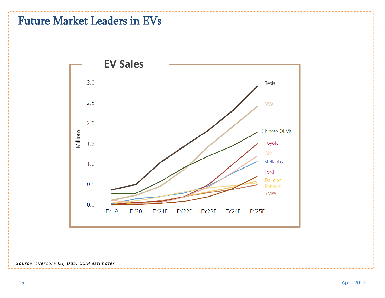#### Future Market Leaders in EVs



#### *Source: Evercore ISI, UBS, CCM estimates*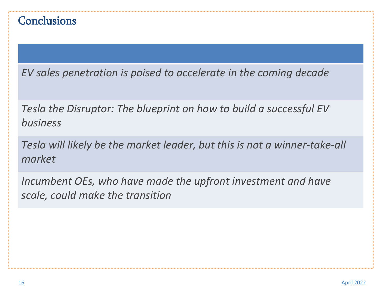#### **Conclusions**

*EV sales penetration is poised to accelerate in the coming decade*

*Tesla the Disruptor: The blueprint on how to build a successful EV business*

*Tesla will likely be the market leader, but this is not a winner-take-all market*

*Incumbent OEs, who have made the upfront investment and have scale, could make the transition*